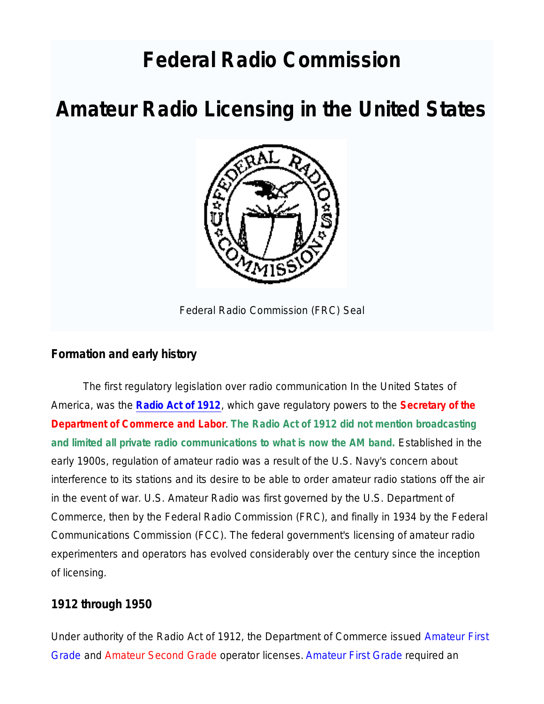# **Federal Radio Commission**

# **Amateur Radio Licensing in the United States**



Federal Radio Commission (FRC) Seal

### **Formation and early history**

The first regulatory legislation over radio communication In the United States of America, was the **Radio Act of 1912**, which gave regulatory powers to the **Secretary of the Department of Commerce and Labor**. **The Radio Act of 1912 did not mention broadcasting and limited all private radio communications to what is now the AM band.** Established in the early 1900s, regulation of amateur radio was a result of the U.S. Navy's concern about interference to its stations and its desire to be able to order amateur radio stations off the air in the event of war. U.S. Amateur Radio was first governed by the U.S. Department of Commerce, then by the Federal Radio Commission (FRC), and finally in 1934 by the Federal Communications Commission (FCC). The federal government's licensing of amateur radio experimenters and operators has evolved considerably over the century since the inception of licensing.

### **1912 through 1950**

Under authority of the Radio Act of 1912, the Department of Commerce issued Amateur First Grade and Amateur Second Grade operator licenses. Amateur First Grade required an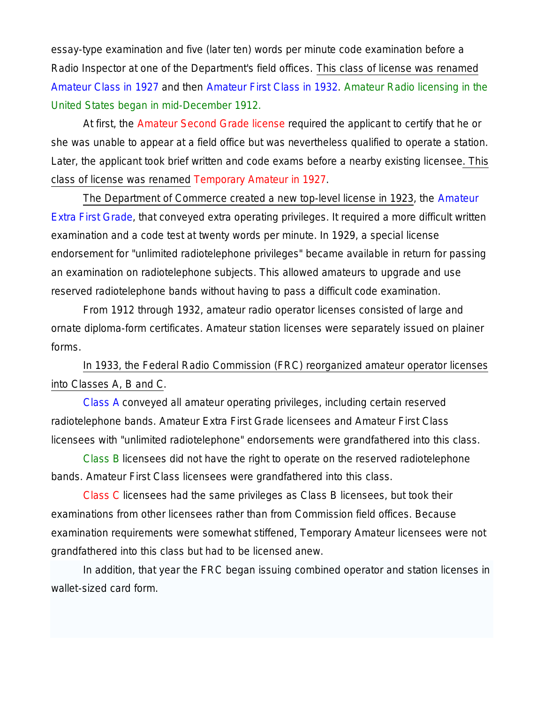essay-type examination and five (later ten) words per minute code examination before a Radio Inspector at one of the Department's field offices. This class of license was renamed Amateur Class in 1927 and then Amateur First Class in 1932. Amateur Radio licensing in the United States began in mid-December 1912.

At first, the Amateur Second Grade license required the applicant to certify that he or she was unable to appear at a field office but was nevertheless qualified to operate a station. Later, the applicant took brief written and code exams before a nearby existing licensee. This class of license was renamed Temporary Amateur in 1927.

The Department of Commerce created a new top-level license in 1923, the Amateur Extra First Grade, that conveyed extra operating privileges. It required a more difficult written examination and a code test at twenty words per minute. In 1929, a special license endorsement for "unlimited radiotelephone privileges" became available in return for passing an examination on radiotelephone subjects. This allowed amateurs to upgrade and use reserved radiotelephone bands without having to pass a difficult code examination.

From 1912 through 1932, amateur radio operator licenses consisted of large and ornate diploma-form certificates. Amateur station licenses were separately issued on plainer forms.

In 1933, the Federal Radio Commission (FRC) reorganized amateur operator licenses into Classes A, B and C.

Class A conveyed all amateur operating privileges, including certain reserved radiotelephone bands. Amateur Extra First Grade licensees and Amateur First Class licensees with "unlimited radiotelephone" endorsements were grandfathered into this class.

Class B licensees did not have the right to operate on the reserved radiotelephone bands. Amateur First Class licensees were grandfathered into this class.

Class C licensees had the same privileges as Class B licensees, but took their examinations from other licensees rather than from Commission field offices. Because examination requirements were somewhat stiffened, Temporary Amateur licensees were not grandfathered into this class but had to be licensed anew.

In addition, that year the FRC began issuing combined operator and station licenses in wallet-sized card form.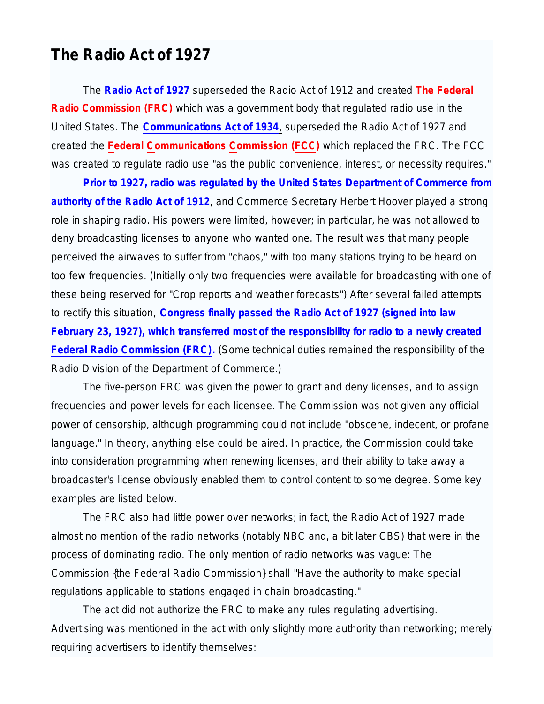## **The Radio Act of 1927**

The **Radio Act of 1927** superseded the Radio Act of 1912 and created **The Federal Radio Commission (FRC)** which was a government body that regulated radio use in the United States. The **Communications Act of 1934**, superseded the Radio Act of 1927 and created the **Federal Communications Commission (FCC)** which replaced the FRC. The FCC was created to regulate radio use "as the public convenience, interest, or necessity requires."

**Prior to 1927, radio was regulated by the United States Department of Commerce from authority of the Radio Act of 1912**, and Commerce Secretary Herbert Hoover played a strong role in shaping radio. His powers were limited, however; in particular, he was not allowed to deny broadcasting licenses to anyone who wanted one. The result was that many people perceived the airwaves to suffer from "chaos," with too many stations trying to be heard on too few frequencies. (Initially only two frequencies were available for broadcasting with one of these being reserved for "Crop reports and weather forecasts") After several failed attempts to rectify this situation, **Congress finally passed the Radio Act of 1927 (signed into law February 23, 1927), which transferred most of the responsibility for radio to a newly created Federal Radio Commission (FRC).** (Some technical duties remained the responsibility of the Radio Division of the Department of Commerce.)

The five-person FRC was given the power to grant and deny licenses, and to assign frequencies and power levels for each licensee. The Commission was not given any official power of censorship, although programming could not include "obscene, indecent, or profane language." In theory, anything else could be aired. In practice, the Commission could take into consideration programming when renewing licenses, and their ability to take away a broadcaster's license obviously enabled them to control content to some degree. Some key examples are listed below.

The FRC also had little power over networks; in fact, the Radio Act of 1927 made almost no mention of the radio networks (notably NBC and, a bit later CBS) that were in the process of dominating radio. The only mention of radio networks was vague: The Commission {the Federal Radio Commission} shall *"Have the authority to make special regulations applicable to stations engaged in chain broadcasting."*

The act did not authorize the FRC to make any rules regulating advertising. Advertising was mentioned in the act with only slightly more authority than networking; merely requiring advertisers to identify themselves: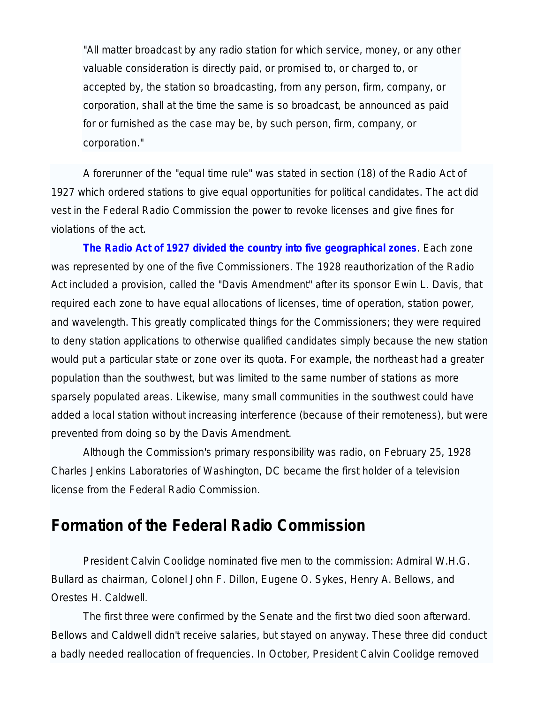"All matter broadcast by any radio station for which service, money, or any other valuable consideration is directly paid, or promised to, or charged to, or accepted by, the station so broadcasting, from any person, firm, company, or corporation, shall at the time the same is so broadcast, be announced as paid for or furnished as the case may be, by such person, firm, company, or corporation."

A forerunner of the "equal time rule" was stated in section (18) of the Radio Act of 1927 which ordered stations to give equal opportunities for political candidates. The act did vest in the Federal Radio Commission the power to revoke licenses and give fines for violations of the act.

**The Radio Act of 1927 divided the country into five geographical zones**. Each zone was represented by one of the five Commissioners. The 1928 reauthorization of the Radio Act included a provision, called the "Davis Amendment" after its sponsor Ewin L. Davis, that required each zone to have equal allocations of licenses, time of operation, station power, and wavelength. This greatly complicated things for the Commissioners; they were required to deny station applications to otherwise qualified candidates simply because the new station would put a particular state or zone over its quota. For example, the northeast had a greater population than the southwest, but was limited to the same number of stations as more sparsely populated areas. Likewise, many small communities in the southwest could have added a local station without increasing interference (because of their remoteness), but were prevented from doing so by the Davis Amendment.

Although the Commission's primary responsibility was radio, on February 25, 1928 Charles Jenkins Laboratories of Washington, DC became the first holder of a television license from the Federal Radio Commission.

# **Formation of the Federal Radio Commission**

President Calvin Coolidge nominated five men to the commission: Admiral W.H.G. Bullard as chairman, Colonel John F. Dillon, Eugene O. Sykes, Henry A. Bellows, and Orestes H. Caldwell.

The first three were confirmed by the Senate and the first two died soon afterward. Bellows and Caldwell didn't receive salaries, but stayed on anyway. These three did conduct a badly needed reallocation of frequencies. In October, President Calvin Coolidge removed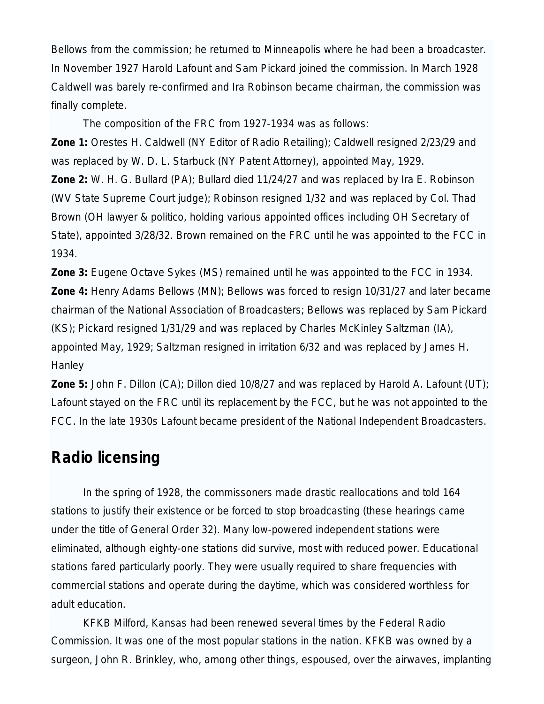Bellows from the commission; he returned to Minneapolis where he had been a broadcaster. In November 1927 Harold Lafount and Sam Pickard joined the commission. In March 1928 Caldwell was barely re-confirmed and Ira Robinson became chairman, the commission was finally complete.

The composition of the FRC from 1927-1934 was as follows:

**Zone 1:** Orestes H. Caldwell (NY Editor of Radio Retailing); Caldwell resigned 2/23/29 and was replaced by W. D. L. Starbuck (NY Patent Attorney), appointed May, 1929. **Zone 2:** W. H. G. Bullard (PA); Bullard died 11/24/27 and was replaced by Ira E. Robinson (WV State Supreme Court judge); Robinson resigned 1/32 and was replaced by Col. Thad Brown (OH lawyer & politico, holding various appointed offices including OH Secretary of State), appointed 3/28/32. Brown remained on the FRC until he was appointed to the FCC in 1934.

**Zone 3:** Eugene Octave Sykes (MS) remained until he was appointed to the FCC in 1934. **Zone 4:** Henry Adams Bellows (MN); Bellows was forced to resign 10/31/27 and later became chairman of the National Association of Broadcasters; Bellows was replaced by Sam Pickard (KS); Pickard resigned 1/31/29 and was replaced by Charles McKinley Saltzman (IA), appointed May, 1929; Saltzman resigned in irritation 6/32 and was replaced by James H. **Hanley** 

**Zone 5:** John F. Dillon (CA); Dillon died 10/8/27 and was replaced by Harold A. Lafount (UT); Lafount stayed on the FRC until its replacement by the FCC, but he was not appointed to the FCC. In the late 1930s Lafount became president of the National Independent Broadcasters.

# **Radio licensing**

In the spring of 1928, the commissoners made drastic reallocations and told 164 stations to justify their existence or be forced to stop broadcasting (these hearings came under the title of General Order 32). Many low-powered independent stations were eliminated, although eighty-one stations did survive, most with reduced power. Educational stations fared particularly poorly. They were usually required to share frequencies with commercial stations and operate during the daytime, which was considered worthless for adult education.

KFKB Milford, Kansas had been renewed several times by the Federal Radio Commission. It was one of the most popular stations in the nation. KFKB was owned by a surgeon, John R. Brinkley, who, among other things, espoused, over the airwaves, implanting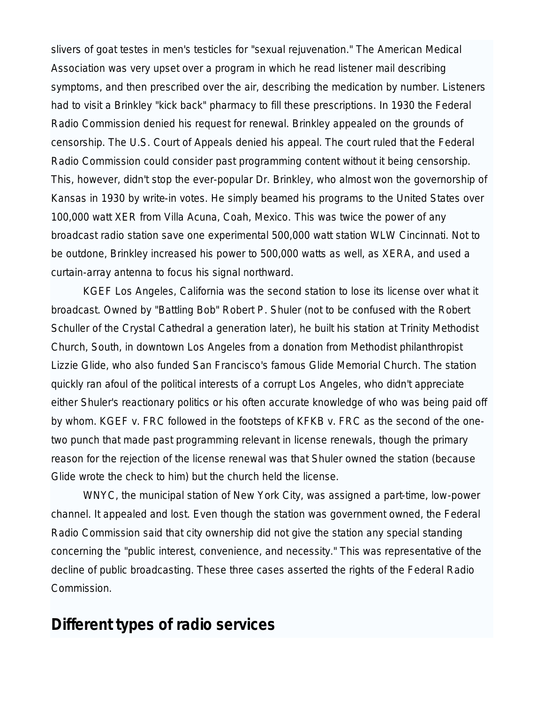slivers of goat testes in men's testicles for "sexual rejuvenation." The American Medical Association was very upset over a program in which he read listener mail describing symptoms, and then prescribed over the air, describing the medication by number. Listeners had to visit a Brinkley "kick back" pharmacy to fill these prescriptions. In 1930 the Federal Radio Commission denied his request for renewal. Brinkley appealed on the grounds of censorship. The U.S. Court of Appeals denied his appeal. The court ruled that the Federal Radio Commission could consider past programming content without it being censorship. This, however, didn't stop the ever-popular Dr. Brinkley, who almost won the governorship of Kansas in 1930 by write-in votes. He simply beamed his programs to the United States over 100,000 watt XER from Villa Acuna, Coah, Mexico. This was twice the power of any broadcast radio station save one experimental 500,000 watt station WLW Cincinnati. Not to be outdone, Brinkley increased his power to 500,000 watts as well, as XERA, and used a curtain-array antenna to focus his signal northward.

KGEF Los Angeles, California was the second station to lose its license over what it broadcast. Owned by "Battling Bob" Robert P. Shuler (not to be confused with the Robert Schuller of the Crystal Cathedral a generation later), he built his station at Trinity Methodist Church, South, in downtown Los Angeles from a donation from Methodist philanthropist Lizzie Glide, who also funded San Francisco's famous Glide Memorial Church. The station quickly ran afoul of the political interests of a corrupt Los Angeles, who didn't appreciate either Shuler's reactionary politics or his often accurate knowledge of who was being paid off by whom. KGEF v. FRC followed in the footsteps of KFKB v. FRC as the second of the onetwo punch that made past programming relevant in license renewals, though the primary reason for the rejection of the license renewal was that Shuler owned the station (because Glide wrote the check to him) but the church held the license.

WNYC, the municipal station of New York City, was assigned a part-time, low-power channel. It appealed and lost. Even though the station was government owned, the Federal Radio Commission said that city ownership did not give the station any special standing concerning the "public interest, convenience, and necessity." This was representative of the decline of public broadcasting. These three cases asserted the rights of the Federal Radio Commission.

## **Different types of radio services**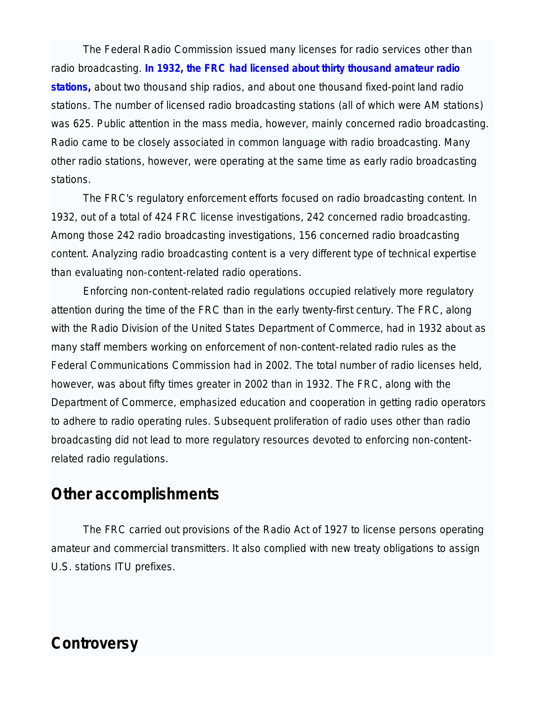The Federal Radio Commission issued many licenses for radio services other than radio broadcasting. **In 1932, the FRC had licensed about thirty thousand amateur radio stations,** about two thousand ship radios, and about one thousand fixed-point land radio stations. The number of licensed radio broadcasting stations (all of which were AM stations) was 625. Public attention in the mass media, however, mainly concerned radio broadcasting. Radio came to be closely associated in common language with radio broadcasting. Many other radio stations, however, were operating at the same time as early radio broadcasting stations.

The FRC's regulatory enforcement efforts focused on radio broadcasting content. In 1932, out of a total of 424 FRC license investigations, 242 concerned radio broadcasting. Among those 242 radio broadcasting investigations, 156 concerned radio broadcasting content. Analyzing radio broadcasting content is a very different type of technical expertise than evaluating non-content-related radio operations.

Enforcing non-content-related radio regulations occupied relatively more regulatory attention during the time of the FRC than in the early twenty-first century. The FRC, along with the Radio Division of the United States Department of Commerce, had in 1932 about as many staff members working on enforcement of non-content-related radio rules as the Federal Communications Commission had in 2002. The total number of radio licenses held, however, was about fifty times greater in 2002 than in 1932. The FRC, along with the Department of Commerce, emphasized education and cooperation in getting radio operators to adhere to radio operating rules. Subsequent proliferation of radio uses other than radio broadcasting did not lead to more regulatory resources devoted to enforcing non-contentrelated radio regulations.

# **Other accomplishments**

The FRC carried out provisions of the Radio Act of 1927 to license persons operating amateur and commercial transmitters. It also complied with new treaty obligations to assign U.S. stations ITU prefixes.

# **Controversy**